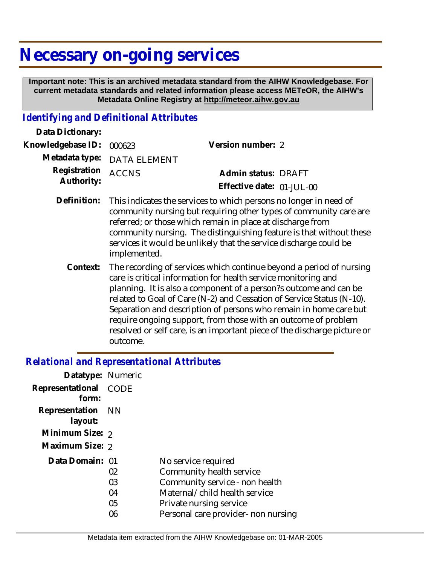# **Necessary on-going services**

 **Important note: This is an archived metadata standard from the AIHW Knowledgebase. For current metadata standards and related information please access METeOR, the AIHW's Metadata Online Registry at http://meteor.aihw.gov.au**

## *Identifying and Definitional Attributes*

| Data Dictionary:           |                                                                                                                                                                                                                                                                                                                                                                                                                                                                                                                    |                                                  |  |
|----------------------------|--------------------------------------------------------------------------------------------------------------------------------------------------------------------------------------------------------------------------------------------------------------------------------------------------------------------------------------------------------------------------------------------------------------------------------------------------------------------------------------------------------------------|--------------------------------------------------|--|
| Knowledgebase ID:          | 000623                                                                                                                                                                                                                                                                                                                                                                                                                                                                                                             | Version number: 2                                |  |
| Metadata type:             | <b>DATA ELEMENT</b>                                                                                                                                                                                                                                                                                                                                                                                                                                                                                                |                                                  |  |
| Registration<br>Authority: | <b>ACCNS</b>                                                                                                                                                                                                                                                                                                                                                                                                                                                                                                       | Admin status: DRAFT<br>Effective date: 01-JUL-00 |  |
| Definition:                | This indicates the services to which persons no longer in need of<br>community nursing but requiring other types of community care are<br>referred; or those which remain in place at discharge from<br>community nursing. The distinguishing feature is that without these<br>services it would be unlikely that the service discharge could be<br>implemented.                                                                                                                                                   |                                                  |  |
| Context:                   | The recording of services which continue beyond a period of nursing<br>care is critical information for health service monitoring and<br>planning. It is also a component of a person?s outcome and can be<br>related to Goal of Care (N-2) and Cessation of Service Status (N-10).<br>Separation and description of persons who remain in home care but<br>require ongoing support, from those with an outcome of problem<br>resolved or self care, is an important piece of the discharge picture or<br>outcome. |                                                  |  |

#### *Relational and Representational Attributes*

| Datatype: Numeric            |                            |                                                                                                                                                                                      |
|------------------------------|----------------------------|--------------------------------------------------------------------------------------------------------------------------------------------------------------------------------------|
| Representational<br>form:    | CODE                       |                                                                                                                                                                                      |
| Representation NN<br>layout: |                            |                                                                                                                                                                                      |
| Minimum Size: 2              |                            |                                                                                                                                                                                      |
| Maximum Size: 2              |                            |                                                                                                                                                                                      |
| Data Domain: 01              | 02<br>03<br>04<br>05<br>06 | No service required<br>Community health service<br>Community service - non health<br>Maternal/child health service<br>Private nursing service<br>Personal care provider- non nursing |